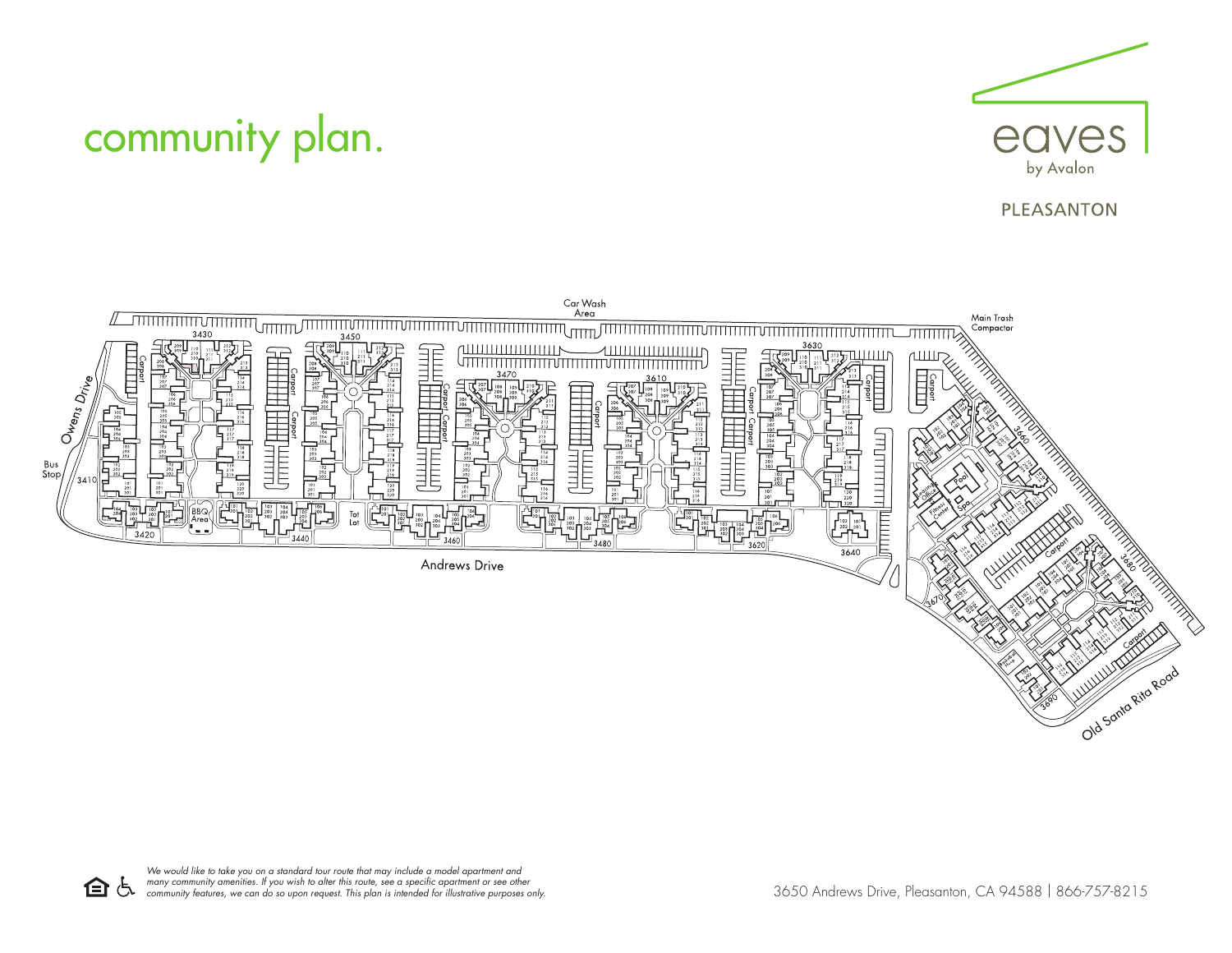

## community plan.

## **PLEASANTON**